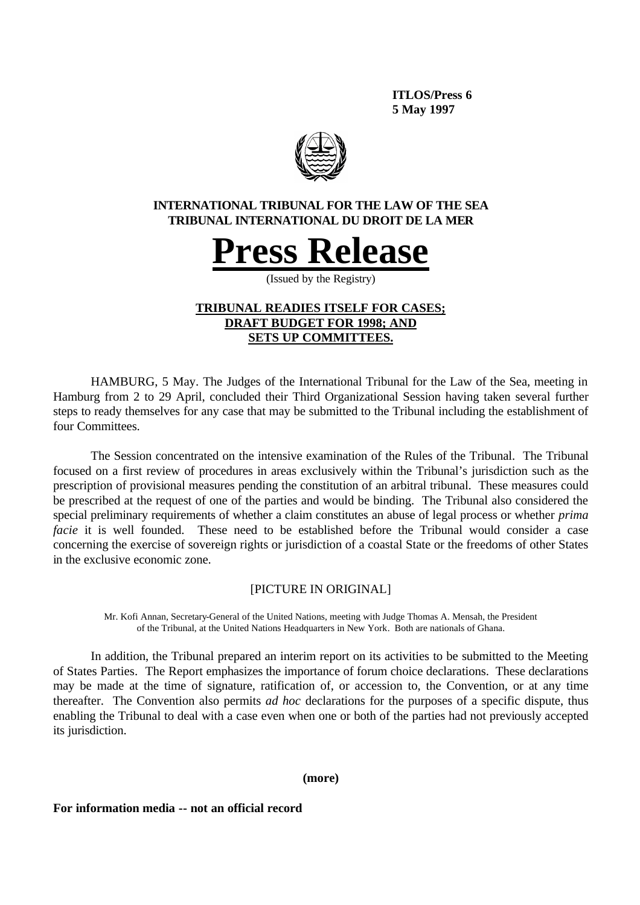**ITLOS/Press 6 5 May 1997**



# **INTERNATIONAL TRIBUNAL FOR THE LAW OF THE SEA TRIBUNAL INTERNATIONAL DU DROIT DE LA MER**



(Issued by the Registry)

# **TRIBUNAL READIES ITSELF FOR CASES; DRAFT BUDGET FOR 1998; AND SETS UP COMMITTEES.**

HAMBURG, 5 May. The Judges of the International Tribunal for the Law of the Sea, meeting in Hamburg from 2 to 29 April, concluded their Third Organizational Session having taken several further steps to ready themselves for any case that may be submitted to the Tribunal including the establishment of four Committees.

The Session concentrated on the intensive examination of the Rules of the Tribunal. The Tribunal focused on a first review of procedures in areas exclusively within the Tribunal's jurisdiction such as the prescription of provisional measures pending the constitution of an arbitral tribunal. These measures could be prescribed at the request of one of the parties and would be binding. The Tribunal also considered the special preliminary requirements of whether a claim constitutes an abuse of legal process or whether *prima facie* it is well founded. These need to be established before the Tribunal would consider a case concerning the exercise of sovereign rights or jurisdiction of a coastal State or the freedoms of other States in the exclusive economic zone.

# [PICTURE IN ORIGINAL]

Mr. Kofi Annan, Secretary-General of the United Nations, meeting with Judge Thomas A. Mensah, the President of the Tribunal, at the United Nations Headquarters in New York. Both are nationals of Ghana.

In addition, the Tribunal prepared an interim report on its activities to be submitted to the Meeting of States Parties. The Report emphasizes the importance of forum choice declarations. These declarations may be made at the time of signature, ratification of, or accession to, the Convention, or at any time thereafter. The Convention also permits *ad hoc* declarations for the purposes of a specific dispute, thus enabling the Tribunal to deal with a case even when one or both of the parties had not previously accepted its jurisdiction.

### **(more)**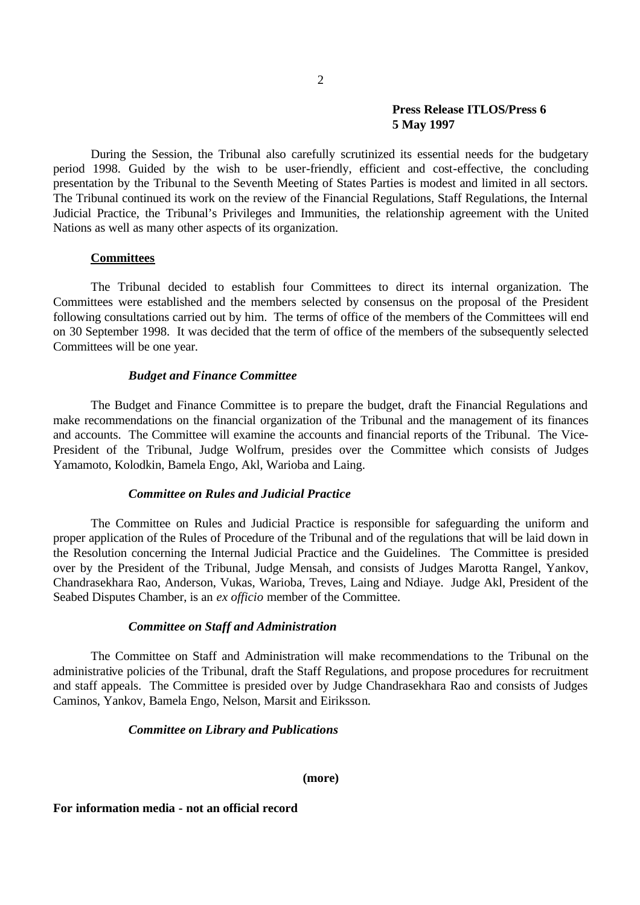During the Session, the Tribunal also carefully scrutinized its essential needs for the budgetary period 1998. Guided by the wish to be user-friendly, efficient and cost-effective, the concluding presentation by the Tribunal to the Seventh Meeting of States Parties is modest and limited in all sectors. The Tribunal continued its work on the review of the Financial Regulations, Staff Regulations, the Internal Judicial Practice, the Tribunal's Privileges and Immunities, the relationship agreement with the United Nations as well as many other aspects of its organization.

### **Committees**

The Tribunal decided to establish four Committees to direct its internal organization. The Committees were established and the members selected by consensus on the proposal of the President following consultations carried out by him. The terms of office of the members of the Committees will end on 30 September 1998. It was decided that the term of office of the members of the subsequently selected Committees will be one year.

### *Budget and Finance Committee*

The Budget and Finance Committee is to prepare the budget, draft the Financial Regulations and make recommendations on the financial organization of the Tribunal and the management of its finances and accounts. The Committee will examine the accounts and financial reports of the Tribunal. The Vice-President of the Tribunal, Judge Wolfrum, presides over the Committee which consists of Judges Yamamoto, Kolodkin, Bamela Engo, Akl, Warioba and Laing.

### *Committee on Rules and Judicial Practice*

The Committee on Rules and Judicial Practice is responsible for safeguarding the uniform and proper application of the Rules of Procedure of the Tribunal and of the regulations that will be laid down in the Resolution concerning the Internal Judicial Practice and the Guidelines. The Committee is presided over by the President of the Tribunal, Judge Mensah, and consists of Judges Marotta Rangel, Yankov, Chandrasekhara Rao, Anderson, Vukas, Warioba, Treves, Laing and Ndiaye. Judge Akl, President of the Seabed Disputes Chamber, is an *ex officio* member of the Committee.

#### *Committee on Staff and Administration*

The Committee on Staff and Administration will make recommendations to the Tribunal on the administrative policies of the Tribunal, draft the Staff Regulations, and propose procedures for recruitment and staff appeals. The Committee is presided over by Judge Chandrasekhara Rao and consists of Judges Caminos, Yankov, Bamela Engo, Nelson, Marsit and Eiriksson.

#### *Committee on Library and Publications*

**(more)**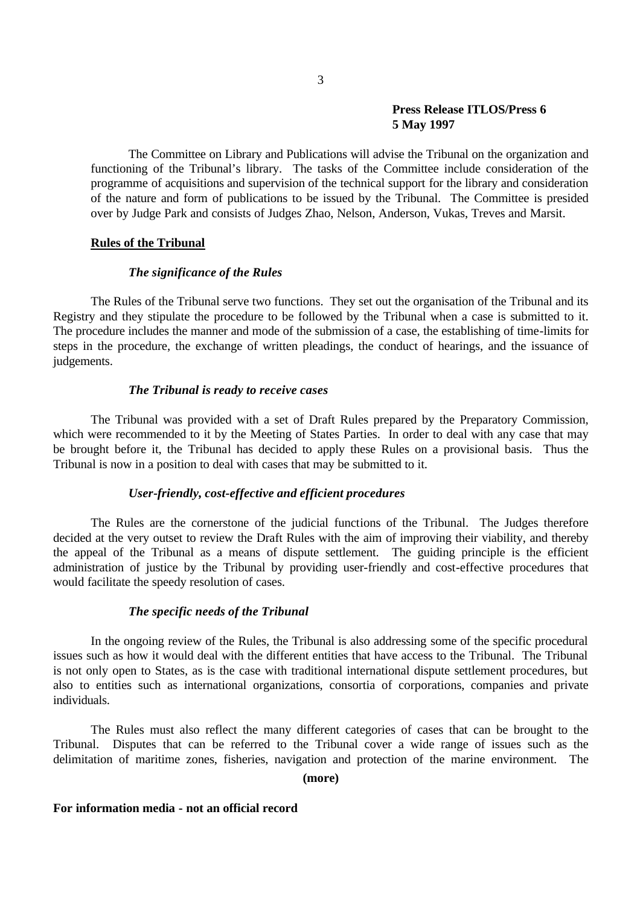The Committee on Library and Publications will advise the Tribunal on the organization and functioning of the Tribunal's library. The tasks of the Committee include consideration of the programme of acquisitions and supervision of the technical support for the library and consideration of the nature and form of publications to be issued by the Tribunal. The Committee is presided over by Judge Park and consists of Judges Zhao, Nelson, Anderson, Vukas, Treves and Marsit.

### **Rules of the Tribunal**

### *The significance of the Rules*

The Rules of the Tribunal serve two functions. They set out the organisation of the Tribunal and its Registry and they stipulate the procedure to be followed by the Tribunal when a case is submitted to it. The procedure includes the manner and mode of the submission of a case, the establishing of time-limits for steps in the procedure, the exchange of written pleadings, the conduct of hearings, and the issuance of judgements.

### *The Tribunal is ready to receive cases*

The Tribunal was provided with a set of Draft Rules prepared by the Preparatory Commission, which were recommended to it by the Meeting of States Parties. In order to deal with any case that may be brought before it, the Tribunal has decided to apply these Rules on a provisional basis. Thus the Tribunal is now in a position to deal with cases that may be submitted to it.

### *User-friendly, cost-effective and efficient procedures*

The Rules are the cornerstone of the judicial functions of the Tribunal. The Judges therefore decided at the very outset to review the Draft Rules with the aim of improving their viability, and thereby the appeal of the Tribunal as a means of dispute settlement. The guiding principle is the efficient administration of justice by the Tribunal by providing user-friendly and cost-effective procedures that would facilitate the speedy resolution of cases.

### *The specific needs of the Tribunal*

In the ongoing review of the Rules, the Tribunal is also addressing some of the specific procedural issues such as how it would deal with the different entities that have access to the Tribunal. The Tribunal is not only open to States, as is the case with traditional international dispute settlement procedures, but also to entities such as international organizations, consortia of corporations, companies and private individuals.

The Rules must also reflect the many different categories of cases that can be brought to the Tribunal. Disputes that can be referred to the Tribunal cover a wide range of issues such as the delimitation of maritime zones, fisheries, navigation and protection of the marine environment. The

# **(more)**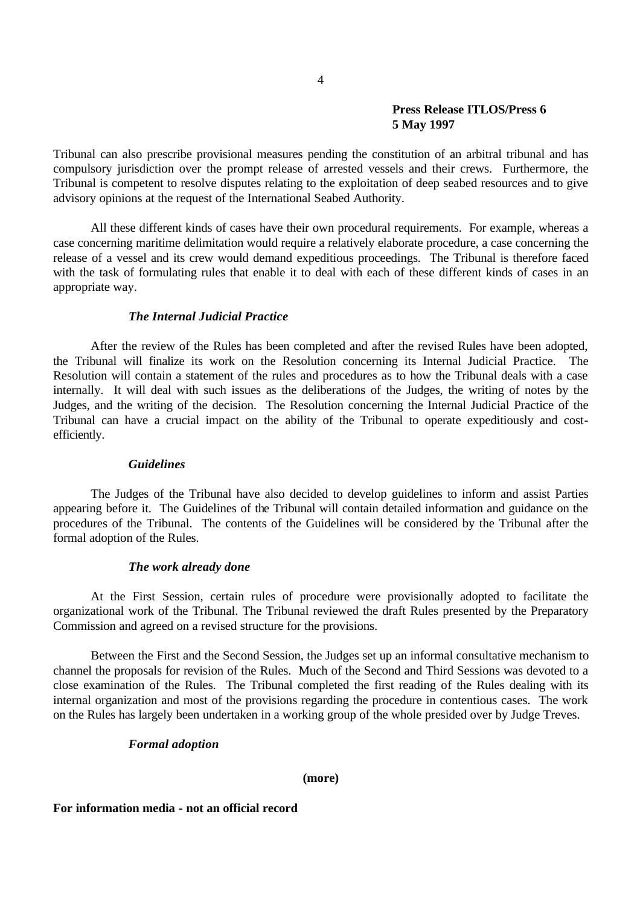Tribunal can also prescribe provisional measures pending the constitution of an arbitral tribunal and has compulsory jurisdiction over the prompt release of arrested vessels and their crews. Furthermore, the Tribunal is competent to resolve disputes relating to the exploitation of deep seabed resources and to give advisory opinions at the request of the International Seabed Authority.

All these different kinds of cases have their own procedural requirements. For example, whereas a case concerning maritime delimitation would require a relatively elaborate procedure, a case concerning the release of a vessel and its crew would demand expeditious proceedings. The Tribunal is therefore faced with the task of formulating rules that enable it to deal with each of these different kinds of cases in an appropriate way.

### *The Internal Judicial Practice*

After the review of the Rules has been completed and after the revised Rules have been adopted, the Tribunal will finalize its work on the Resolution concerning its Internal Judicial Practice. The Resolution will contain a statement of the rules and procedures as to how the Tribunal deals with a case internally. It will deal with such issues as the deliberations of the Judges, the writing of notes by the Judges, and the writing of the decision. The Resolution concerning the Internal Judicial Practice of the Tribunal can have a crucial impact on the ability of the Tribunal to operate expeditiously and costefficiently.

### *Guidelines*

The Judges of the Tribunal have also decided to develop guidelines to inform and assist Parties appearing before it. The Guidelines of the Tribunal will contain detailed information and guidance on the procedures of the Tribunal. The contents of the Guidelines will be considered by the Tribunal after the formal adoption of the Rules.

### *The work already done*

At the First Session, certain rules of procedure were provisionally adopted to facilitate the organizational work of the Tribunal. The Tribunal reviewed the draft Rules presented by the Preparatory Commission and agreed on a revised structure for the provisions.

Between the First and the Second Session, the Judges set up an informal consultative mechanism to channel the proposals for revision of the Rules. Much of the Second and Third Sessions was devoted to a close examination of the Rules. The Tribunal completed the first reading of the Rules dealing with its internal organization and most of the provisions regarding the procedure in contentious cases. The work on the Rules has largely been undertaken in a working group of the whole presided over by Judge Treves.

### *Formal adoption*

### **(more)**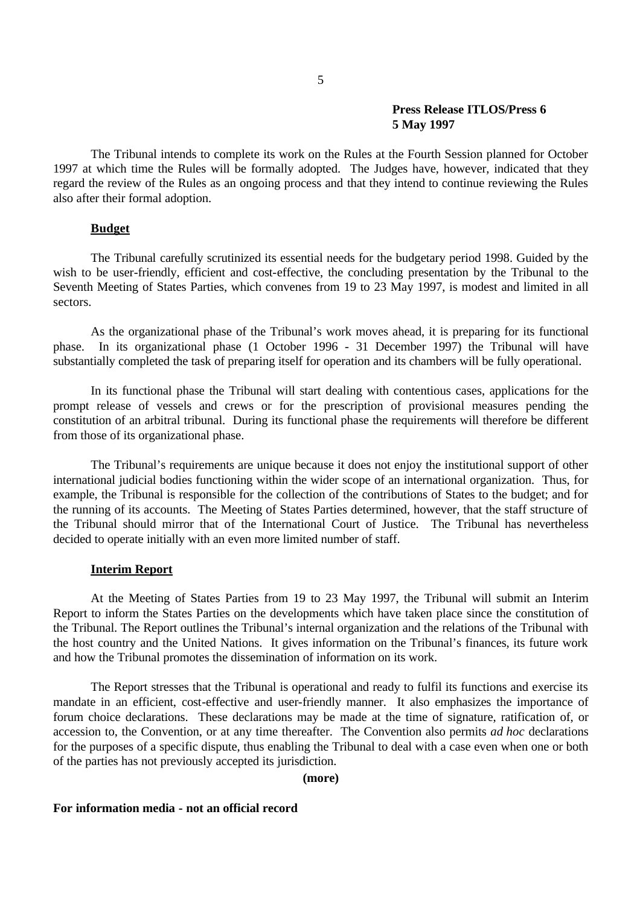# **Press Release ITLOS/Press 6**

# **5 May 1997**

The Tribunal intends to complete its work on the Rules at the Fourth Session planned for October 1997 at which time the Rules will be formally adopted. The Judges have, however, indicated that they regard the review of the Rules as an ongoing process and that they intend to continue reviewing the Rules also after their formal adoption.

# **Budget**

The Tribunal carefully scrutinized its essential needs for the budgetary period 1998. Guided by the wish to be user-friendly, efficient and cost-effective, the concluding presentation by the Tribunal to the Seventh Meeting of States Parties, which convenes from 19 to 23 May 1997, is modest and limited in all sectors.

As the organizational phase of the Tribunal's work moves ahead, it is preparing for its functional phase. In its organizational phase (1 October 1996 - 31 December 1997) the Tribunal will have substantially completed the task of preparing itself for operation and its chambers will be fully operational.

In its functional phase the Tribunal will start dealing with contentious cases, applications for the prompt release of vessels and crews or for the prescription of provisional measures pending the constitution of an arbitral tribunal. During its functional phase the requirements will therefore be different from those of its organizational phase.

The Tribunal's requirements are unique because it does not enjoy the institutional support of other international judicial bodies functioning within the wider scope of an international organization. Thus, for example, the Tribunal is responsible for the collection of the contributions of States to the budget; and for the running of its accounts. The Meeting of States Parties determined, however, that the staff structure of the Tribunal should mirror that of the International Court of Justice. The Tribunal has nevertheless decided to operate initially with an even more limited number of staff.

# **Interim Report**

At the Meeting of States Parties from 19 to 23 May 1997, the Tribunal will submit an Interim Report to inform the States Parties on the developments which have taken place since the constitution of the Tribunal. The Report outlines the Tribunal's internal organization and the relations of the Tribunal with the host country and the United Nations. It gives information on the Tribunal's finances, its future work and how the Tribunal promotes the dissemination of information on its work.

The Report stresses that the Tribunal is operational and ready to fulfil its functions and exercise its mandate in an efficient, cost-effective and user-friendly manner. It also emphasizes the importance of forum choice declarations. These declarations may be made at the time of signature, ratification of, or accession to, the Convention, or at any time thereafter. The Convention also permits *ad hoc* declarations for the purposes of a specific dispute, thus enabling the Tribunal to deal with a case even when one or both of the parties has not previously accepted its jurisdiction.

# **(more)**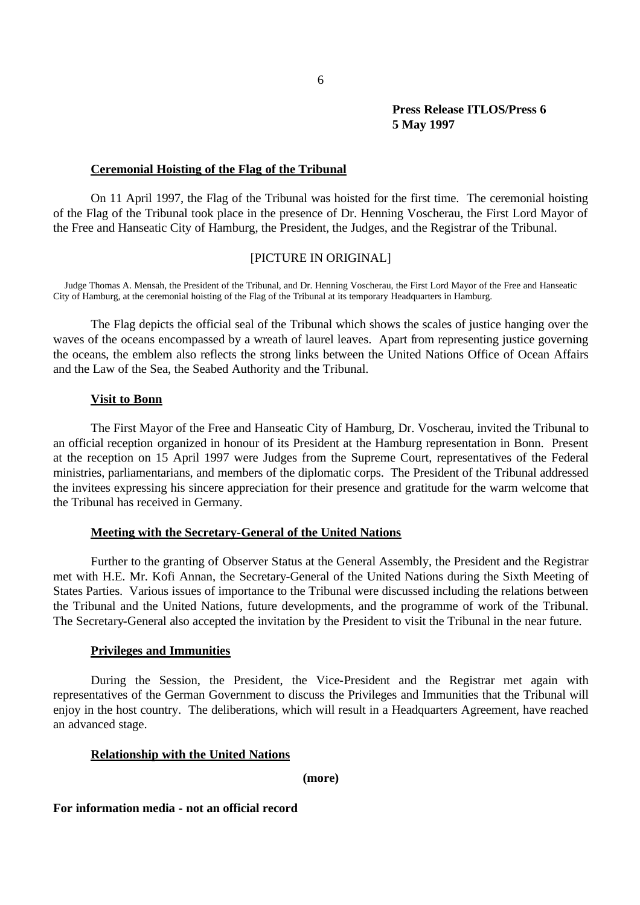#### **Ceremonial Hoisting of the Flag of the Tribunal**

On 11 April 1997, the Flag of the Tribunal was hoisted for the first time. The ceremonial hoisting of the Flag of the Tribunal took place in the presence of Dr. Henning Voscherau, the First Lord Mayor of the Free and Hanseatic City of Hamburg, the President, the Judges, and the Registrar of the Tribunal.

# [PICTURE IN ORIGINAL]

Judge Thomas A. Mensah, the President of the Tribunal, and Dr. Henning Voscherau, the First Lord Mayor of the Free and Hanseatic City of Hamburg, at the ceremonial hoisting of the Flag of the Tribunal at its temporary Headquarters in Hamburg.

The Flag depicts the official seal of the Tribunal which shows the scales of justice hanging over the waves of the oceans encompassed by a wreath of laurel leaves. Apart from representing justice governing the oceans, the emblem also reflects the strong links between the United Nations Office of Ocean Affairs and the Law of the Sea, the Seabed Authority and the Tribunal.

### **Visit to Bonn**

The First Mayor of the Free and Hanseatic City of Hamburg, Dr. Voscherau, invited the Tribunal to an official reception organized in honour of its President at the Hamburg representation in Bonn. Present at the reception on 15 April 1997 were Judges from the Supreme Court, representatives of the Federal ministries, parliamentarians, and members of the diplomatic corps. The President of the Tribunal addressed the invitees expressing his sincere appreciation for their presence and gratitude for the warm welcome that the Tribunal has received in Germany.

### **Meeting with the Secretary-General of the United Nations**

Further to the granting of Observer Status at the General Assembly, the President and the Registrar met with H.E. Mr. Kofi Annan, the Secretary-General of the United Nations during the Sixth Meeting of States Parties. Various issues of importance to the Tribunal were discussed including the relations between the Tribunal and the United Nations, future developments, and the programme of work of the Tribunal. The Secretary-General also accepted the invitation by the President to visit the Tribunal in the near future.

#### **Privileges and Immunities**

During the Session, the President, the Vice-President and the Registrar met again with representatives of the German Government to discuss the Privileges and Immunities that the Tribunal will enjoy in the host country. The deliberations, which will result in a Headquarters Agreement, have reached an advanced stage.

### **Relationship with the United Nations**

### **(more)**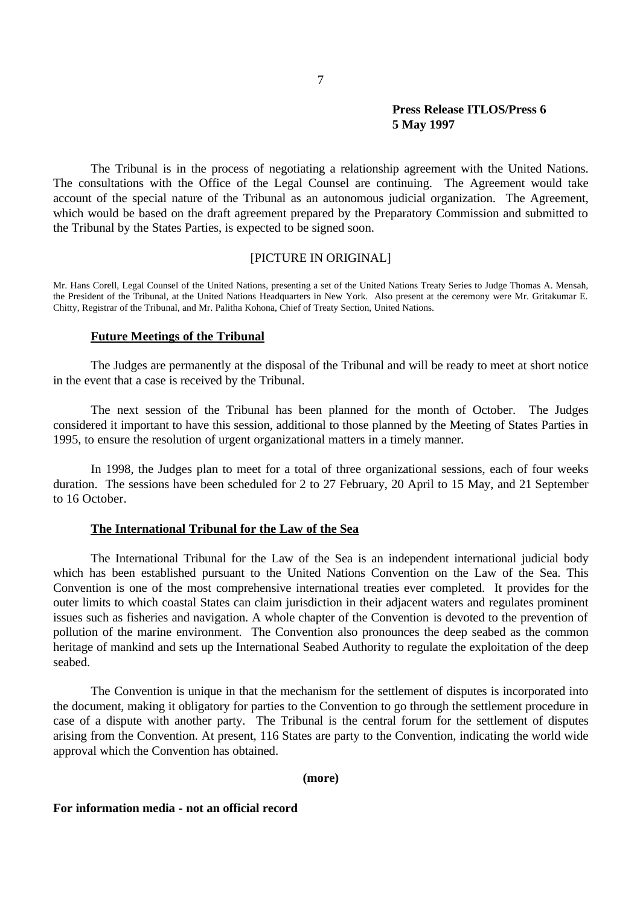The Tribunal is in the process of negotiating a relationship agreement with the United Nations. The consultations with the Office of the Legal Counsel are continuing. The Agreement would take account of the special nature of the Tribunal as an autonomous judicial organization. The Agreement, which would be based on the draft agreement prepared by the Preparatory Commission and submitted to the Tribunal by the States Parties, is expected to be signed soon.

### [PICTURE IN ORIGINAL]

Mr. Hans Corell, Legal Counsel of the United Nations, presenting a set of the United Nations Treaty Series to Judge Thomas A. Mensah, the President of the Tribunal, at the United Nations Headquarters in New York. Also present at the ceremony were Mr. Gritakumar E. Chitty, Registrar of the Tribunal, and Mr. Palitha Kohona, Chief of Treaty Section, United Nations.

### **Future Meetings of the Tribunal**

The Judges are permanently at the disposal of the Tribunal and will be ready to meet at short notice in the event that a case is received by the Tribunal.

The next session of the Tribunal has been planned for the month of October. The Judges considered it important to have this session, additional to those planned by the Meeting of States Parties in 1995, to ensure the resolution of urgent organizational matters in a timely manner.

In 1998, the Judges plan to meet for a total of three organizational sessions, each of four weeks duration. The sessions have been scheduled for 2 to 27 February, 20 April to 15 May, and 21 September to 16 October

### **The International Tribunal for the Law of the Sea**

The International Tribunal for the Law of the Sea is an independent international judicial body which has been established pursuant to the United Nations Convention on the Law of the Sea. This Convention is one of the most comprehensive international treaties ever completed. It provides for the outer limits to which coastal States can claim jurisdiction in their adjacent waters and regulates prominent issues such as fisheries and navigation. A whole chapter of the Convention is devoted to the prevention of pollution of the marine environment. The Convention also pronounces the deep seabed as the common heritage of mankind and sets up the International Seabed Authority to regulate the exploitation of the deep seabed.

The Convention is unique in that the mechanism for the settlement of disputes is incorporated into the document, making it obligatory for parties to the Convention to go through the settlement procedure in case of a dispute with another party. The Tribunal is the central forum for the settlement of disputes arising from the Convention. At present, 116 States are party to the Convention, indicating the world wide approval which the Convention has obtained.

### **(more)**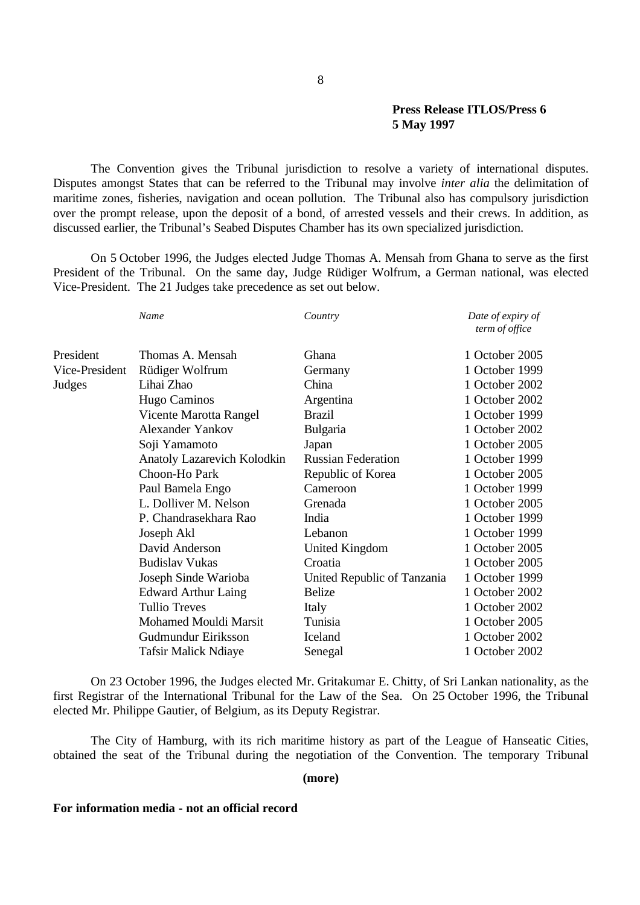The Convention gives the Tribunal jurisdiction to resolve a variety of international disputes. Disputes amongst States that can be referred to the Tribunal may involve *inter alia* the delimitation of maritime zones, fisheries, navigation and ocean pollution. The Tribunal also has compulsory jurisdiction over the prompt release, upon the deposit of a bond, of arrested vessels and their crews. In addition, as discussed earlier, the Tribunal's Seabed Disputes Chamber has its own specialized jurisdiction.

On 5 October 1996, the Judges elected Judge Thomas A. Mensah from Ghana to serve as the first President of the Tribunal. On the same day, Judge Rüdiger Wolfrum, a German national, was elected Vice-President. The 21 Judges take precedence as set out below.

|                | Name                               | Country                     | Date of expiry of<br>term of office |
|----------------|------------------------------------|-----------------------------|-------------------------------------|
| President      | Thomas A. Mensah                   | Ghana                       | 1 October 2005                      |
| Vice-President | Rüdiger Wolfrum                    | Germany                     | 1 October 1999                      |
| Judges         | Lihai Zhao                         | China                       | 1 October 2002                      |
|                | Hugo Caminos                       | Argentina                   | 1 October 2002                      |
|                | Vicente Marotta Rangel             | <b>Brazil</b>               | 1 October 1999                      |
|                | <b>Alexander Yankov</b>            | <b>Bulgaria</b>             | 1 October 2002                      |
|                | Soji Yamamoto                      | Japan                       | 1 October 2005                      |
|                | <b>Anatoly Lazarevich Kolodkin</b> | <b>Russian Federation</b>   | 1 October 1999                      |
|                | Choon-Ho Park                      | Republic of Korea           | 1 October 2005                      |
|                | Paul Bamela Engo                   | Cameroon                    | 1 October 1999                      |
|                | L. Dolliver M. Nelson              | Grenada                     | 1 October 2005                      |
|                | P. Chandrasekhara Rao              | India                       | 1 October 1999                      |
|                | Joseph Akl                         | Lebanon                     | 1 October 1999                      |
|                | David Anderson                     | United Kingdom              | 1 October 2005                      |
|                | <b>Budislav Vukas</b>              | Croatia                     | 1 October 2005                      |
|                | Joseph Sinde Warioba               | United Republic of Tanzania | 1 October 1999                      |
|                | <b>Edward Arthur Laing</b>         | <b>Belize</b>               | 1 October 2002                      |
|                | <b>Tullio Treves</b>               | Italy                       | 1 October 2002                      |
|                | Mohamed Mouldi Marsit              | Tunisia                     | 1 October 2005                      |
|                | Gudmundur Eiriksson                | Iceland                     | 1 October 2002                      |
|                | <b>Tafsir Malick Ndiaye</b>        | Senegal                     | 1 October 2002                      |

On 23 October 1996, the Judges elected Mr. Gritakumar E. Chitty, of Sri Lankan nationality, as the first Registrar of the International Tribunal for the Law of the Sea. On 25 October 1996, the Tribunal elected Mr. Philippe Gautier, of Belgium, as its Deputy Registrar.

The City of Hamburg, with its rich maritime history as part of the League of Hanseatic Cities, obtained the seat of the Tribunal during the negotiation of the Convention. The temporary Tribunal

# **(more)**